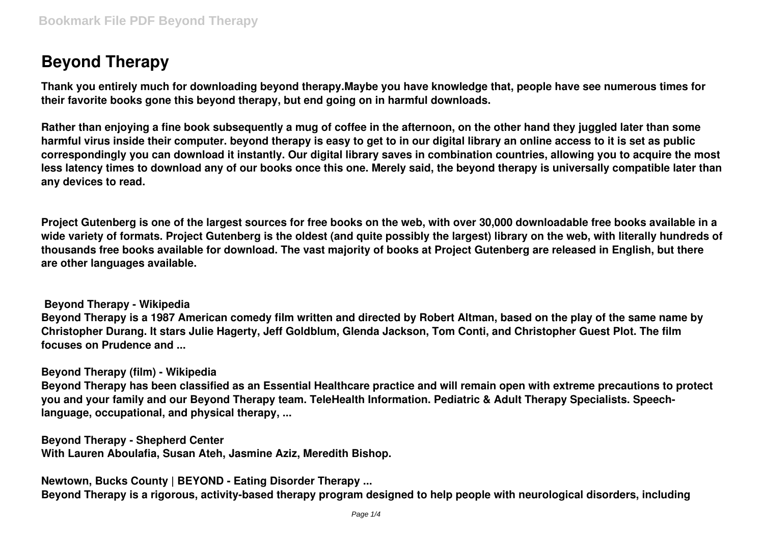# **Beyond Therapy**

**Thank you entirely much for downloading beyond therapy.Maybe you have knowledge that, people have see numerous times for their favorite books gone this beyond therapy, but end going on in harmful downloads.**

**Rather than enjoying a fine book subsequently a mug of coffee in the afternoon, on the other hand they juggled later than some harmful virus inside their computer. beyond therapy is easy to get to in our digital library an online access to it is set as public correspondingly you can download it instantly. Our digital library saves in combination countries, allowing you to acquire the most less latency times to download any of our books once this one. Merely said, the beyond therapy is universally compatible later than any devices to read.**

**Project Gutenberg is one of the largest sources for free books on the web, with over 30,000 downloadable free books available in a wide variety of formats. Project Gutenberg is the oldest (and quite possibly the largest) library on the web, with literally hundreds of thousands free books available for download. The vast majority of books at Project Gutenberg are released in English, but there are other languages available.**

**Beyond Therapy - Wikipedia**

**Beyond Therapy is a 1987 American comedy film written and directed by Robert Altman, based on the play of the same name by Christopher Durang. It stars Julie Hagerty, Jeff Goldblum, Glenda Jackson, Tom Conti, and Christopher Guest Plot. The film focuses on Prudence and ...**

**Beyond Therapy (film) - Wikipedia**

**Beyond Therapy has been classified as an Essential Healthcare practice and will remain open with extreme precautions to protect you and your family and our Beyond Therapy team. TeleHealth Information. Pediatric & Adult Therapy Specialists. Speechlanguage, occupational, and physical therapy, ...**

**Beyond Therapy - Shepherd Center With Lauren Aboulafia, Susan Ateh, Jasmine Aziz, Meredith Bishop.**

**Newtown, Bucks County | BEYOND - Eating Disorder Therapy ... Beyond Therapy is a rigorous, activity-based therapy program designed to help people with neurological disorders, including**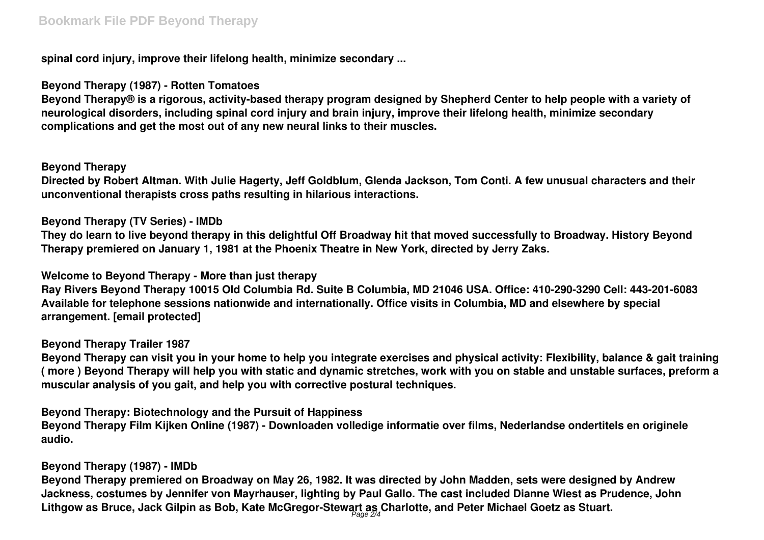**spinal cord injury, improve their lifelong health, minimize secondary ...**

**Beyond Therapy (1987) - Rotten Tomatoes**

**Beyond Therapy® is a rigorous, activity-based therapy program designed by Shepherd Center to help people with a variety of neurological disorders, including spinal cord injury and brain injury, improve their lifelong health, minimize secondary complications and get the most out of any new neural links to their muscles.**

## **Beyond Therapy**

**Directed by Robert Altman. With Julie Hagerty, Jeff Goldblum, Glenda Jackson, Tom Conti. A few unusual characters and their unconventional therapists cross paths resulting in hilarious interactions.**

## **Beyond Therapy (TV Series) - IMDb**

**They do learn to live beyond therapy in this delightful Off Broadway hit that moved successfully to Broadway. History Beyond Therapy premiered on January 1, 1981 at the Phoenix Theatre in New York, directed by Jerry Zaks.**

**Welcome to Beyond Therapy - More than just therapy**

**Ray Rivers Beyond Therapy 10015 Old Columbia Rd. Suite B Columbia, MD 21046 USA. Office: 410-290-3290 Cell: 443-201-6083 Available for telephone sessions nationwide and internationally. Office visits in Columbia, MD and elsewhere by special arrangement. [email protected]**

## **Beyond Therapy Trailer 1987**

**Beyond Therapy can visit you in your home to help you integrate exercises and physical activity: Flexibility, balance & gait training ( more ) Beyond Therapy will help you with static and dynamic stretches, work with you on stable and unstable surfaces, preform a muscular analysis of you gait, and help you with corrective postural techniques.**

**Beyond Therapy: Biotechnology and the Pursuit of Happiness Beyond Therapy Film Kijken Online (1987) - Downloaden volledige informatie over films, Nederlandse ondertitels en originele audio.**

# **Beyond Therapy (1987) - IMDb**

**Beyond Therapy premiered on Broadway on May 26, 1982. It was directed by John Madden, sets were designed by Andrew Jackness, costumes by Jennifer von Mayrhauser, lighting by Paul Gallo. The cast included Dianne Wiest as Prudence, John Lithgow as Bruce, Jack Gilpin as Bob, Kate McGregor-Stewart as Charlotte, and Peter Michael Goetz as Stuart.** Page 2/4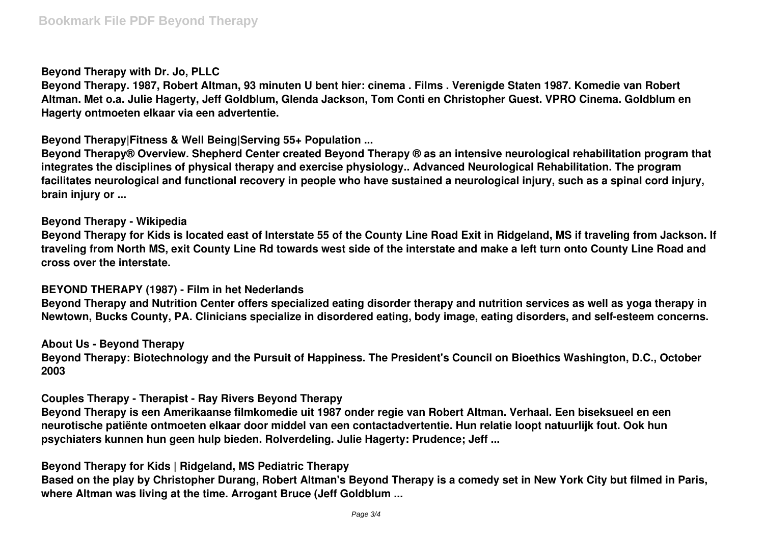### **Beyond Therapy with Dr. Jo, PLLC**

**Beyond Therapy. 1987, Robert Altman, 93 minuten U bent hier: cinema . Films . Verenigde Staten 1987. Komedie van Robert Altman. Met o.a. Julie Hagerty, Jeff Goldblum, Glenda Jackson, Tom Conti en Christopher Guest. VPRO Cinema. Goldblum en Hagerty ontmoeten elkaar via een advertentie.**

**Beyond Therapy|Fitness & Well Being|Serving 55+ Population ...**

**Beyond Therapy® Overview. Shepherd Center created Beyond Therapy ® as an intensive neurological rehabilitation program that integrates the disciplines of physical therapy and exercise physiology.. Advanced Neurological Rehabilitation. The program facilitates neurological and functional recovery in people who have sustained a neurological injury, such as a spinal cord injury, brain injury or ...**

**Beyond Therapy - Wikipedia**

**Beyond Therapy for Kids is located east of Interstate 55 of the County Line Road Exit in Ridgeland, MS if traveling from Jackson. If traveling from North MS, exit County Line Rd towards west side of the interstate and make a left turn onto County Line Road and cross over the interstate.**

#### **BEYOND THERAPY (1987) - Film in het Nederlands**

**Beyond Therapy and Nutrition Center offers specialized eating disorder therapy and nutrition services as well as yoga therapy in Newtown, Bucks County, PA. Clinicians specialize in disordered eating, body image, eating disorders, and self-esteem concerns.**

**About Us - Beyond Therapy**

**Beyond Therapy: Biotechnology and the Pursuit of Happiness. The President's Council on Bioethics Washington, D.C., October 2003**

**Couples Therapy - Therapist - Ray Rivers Beyond Therapy**

**Beyond Therapy is een Amerikaanse filmkomedie uit 1987 onder regie van Robert Altman. Verhaal. Een biseksueel en een neurotische patiënte ontmoeten elkaar door middel van een contactadvertentie. Hun relatie loopt natuurlijk fout. Ook hun psychiaters kunnen hun geen hulp bieden. Rolverdeling. Julie Hagerty: Prudence; Jeff ...**

**Beyond Therapy for Kids | Ridgeland, MS Pediatric Therapy**

**Based on the play by Christopher Durang, Robert Altman's Beyond Therapy is a comedy set in New York City but filmed in Paris, where Altman was living at the time. Arrogant Bruce (Jeff Goldblum ...**